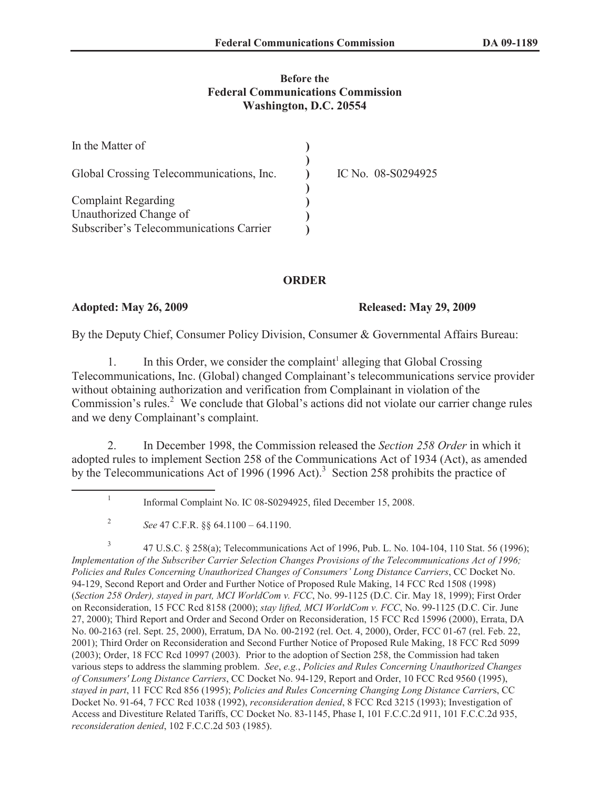### **Before the Federal Communications Commission Washington, D.C. 20554**

| In the Matter of                         |                    |
|------------------------------------------|--------------------|
| Global Crossing Telecommunications, Inc. | IC No. 08-S0294925 |
| <b>Complaint Regarding</b>               |                    |
| Unauthorized Change of                   |                    |
| Subscriber's Telecommunications Carrier  |                    |

## **ORDER**

### **Adopted: May 26, 2009 Released: May 29, 2009**

By the Deputy Chief, Consumer Policy Division, Consumer & Governmental Affairs Bureau:

1. In this Order, we consider the complaint<sup>1</sup> alleging that Global Crossing Telecommunications, Inc. (Global) changed Complainant's telecommunications service provider without obtaining authorization and verification from Complainant in violation of the Commission's rules.<sup>2</sup> We conclude that Global's actions did not violate our carrier change rules and we deny Complainant's complaint.

2. In December 1998, the Commission released the *Section 258 Order* in which it adopted rules to implement Section 258 of the Communications Act of 1934 (Act), as amended by the Telecommunications Act of 1996 (1996 Act).<sup>3</sup> Section 258 prohibits the practice of

3 47 U.S.C. § 258(a); Telecommunications Act of 1996, Pub. L. No. 104-104, 110 Stat. 56 (1996); *Implementation of the Subscriber Carrier Selection Changes Provisions of the Telecommunications Act of 1996; Policies and Rules Concerning Unauthorized Changes of Consumers' Long Distance Carriers*, CC Docket No. 94-129, Second Report and Order and Further Notice of Proposed Rule Making, 14 FCC Rcd 1508 (1998) (*Section 258 Order), stayed in part, MCI WorldCom v. FCC*, No. 99-1125 (D.C. Cir. May 18, 1999); First Order on Reconsideration, 15 FCC Rcd 8158 (2000); *stay lifted, MCI WorldCom v. FCC*, No. 99-1125 (D.C. Cir. June 27, 2000); Third Report and Order and Second Order on Reconsideration, 15 FCC Rcd 15996 (2000), Errata, DA No. 00-2163 (rel. Sept. 25, 2000), Erratum, DA No. 00-2192 (rel. Oct. 4, 2000), Order, FCC 01-67 (rel. Feb. 22, 2001); Third Order on Reconsideration and Second Further Notice of Proposed Rule Making, 18 FCC Rcd 5099 (2003); Order, 18 FCC Rcd 10997 (2003). Prior to the adoption of Section 258, the Commission had taken various steps to address the slamming problem. *See*, *e.g.*, *Policies and Rules Concerning Unauthorized Changes of Consumers' Long Distance Carriers*, CC Docket No. 94-129, Report and Order, 10 FCC Rcd 9560 (1995), *stayed in part*, 11 FCC Rcd 856 (1995); *Policies and Rules Concerning Changing Long Distance Carrier*s, CC Docket No. 91-64, 7 FCC Rcd 1038 (1992), *reconsideration denied*, 8 FCC Rcd 3215 (1993); Investigation of Access and Divestiture Related Tariffs, CC Docket No. 83-1145, Phase I, 101 F.C.C.2d 911, 101 F.C.C.2d 935, *reconsideration denied*, 102 F.C.C.2d 503 (1985).

<sup>1</sup> Informal Complaint No. IC 08-S0294925, filed December 15, 2008.

<sup>2</sup> *See* 47 C.F.R. §§ 64.1100 – 64.1190.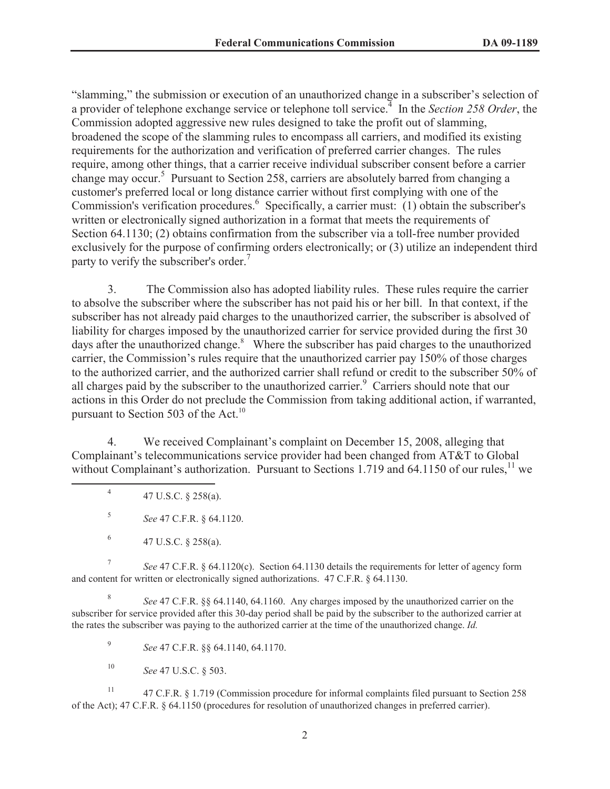"slamming," the submission or execution of an unauthorized change in a subscriber's selection of a provider of telephone exchange service or telephone toll service.<sup>4</sup> In the *Section 258 Order*, the Commission adopted aggressive new rules designed to take the profit out of slamming, broadened the scope of the slamming rules to encompass all carriers, and modified its existing requirements for the authorization and verification of preferred carrier changes. The rules require, among other things, that a carrier receive individual subscriber consent before a carrier change may occur.<sup>5</sup> Pursuant to Section 258, carriers are absolutely barred from changing a customer's preferred local or long distance carrier without first complying with one of the Commission's verification procedures.<sup>6</sup> Specifically, a carrier must: (1) obtain the subscriber's written or electronically signed authorization in a format that meets the requirements of Section 64.1130; (2) obtains confirmation from the subscriber via a toll-free number provided exclusively for the purpose of confirming orders electronically; or (3) utilize an independent third party to verify the subscriber's order.<sup>7</sup>

3. The Commission also has adopted liability rules. These rules require the carrier to absolve the subscriber where the subscriber has not paid his or her bill. In that context, if the subscriber has not already paid charges to the unauthorized carrier, the subscriber is absolved of liability for charges imposed by the unauthorized carrier for service provided during the first 30 days after the unauthorized change. $8$  Where the subscriber has paid charges to the unauthorized carrier, the Commission's rules require that the unauthorized carrier pay 150% of those charges to the authorized carrier, and the authorized carrier shall refund or credit to the subscriber 50% of all charges paid by the subscriber to the unauthorized carrier.<sup>9</sup> Carriers should note that our actions in this Order do not preclude the Commission from taking additional action, if warranted, pursuant to Section 503 of the Act.<sup>10</sup>

4. We received Complainant's complaint on December 15, 2008, alleging that Complainant's telecommunications service provider had been changed from AT&T to Global without Complainant's authorization. Pursuant to Sections 1.719 and 64.1150 of our rules, $^{11}$  we

4 47 U.S.C. § 258(a).

5 *See* 47 C.F.R. § 64.1120.

7 *See* 47 C.F.R. § 64.1120(c). Section 64.1130 details the requirements for letter of agency form and content for written or electronically signed authorizations. 47 C.F.R. § 64.1130.

8 *See* 47 C.F.R. §§ 64.1140, 64.1160. Any charges imposed by the unauthorized carrier on the subscriber for service provided after this 30-day period shall be paid by the subscriber to the authorized carrier at the rates the subscriber was paying to the authorized carrier at the time of the unauthorized change. *Id.*

9 *See* 47 C.F.R. §§ 64.1140, 64.1170.

<sup>10</sup> *See* 47 U.S.C. § 503.

<sup>11</sup> 47 C.F.R. § 1.719 (Commission procedure for informal complaints filed pursuant to Section 258 of the Act); 47 C.F.R. § 64.1150 (procedures for resolution of unauthorized changes in preferred carrier).

<sup>6</sup> 47 U.S.C. § 258(a).